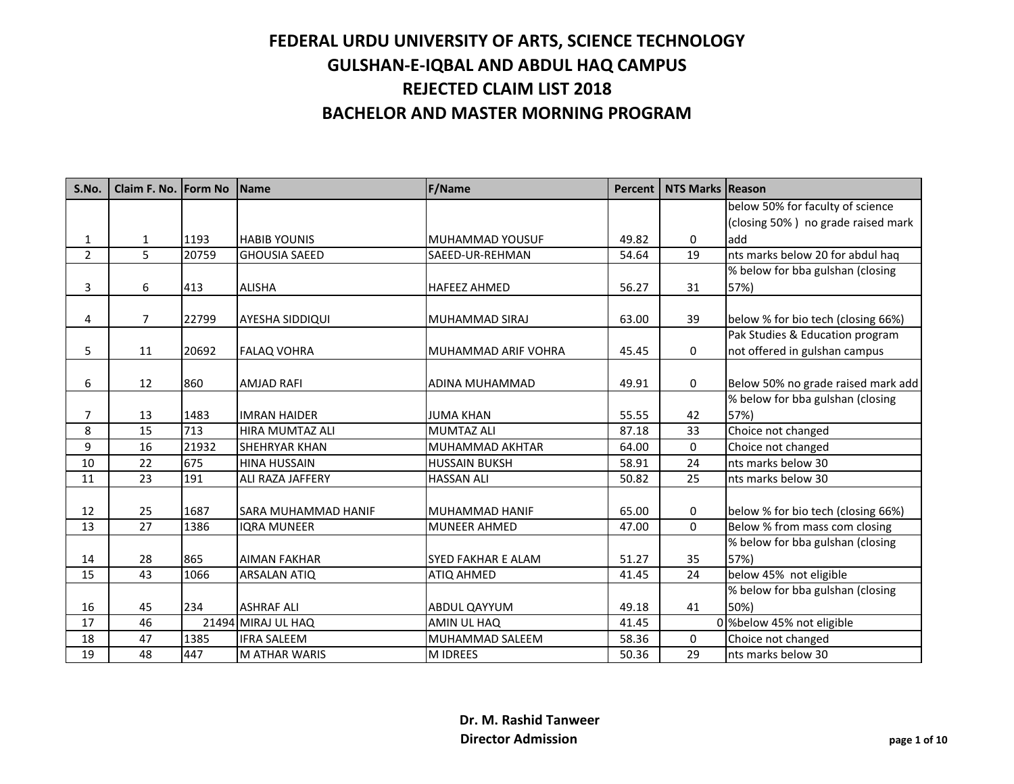| S.No.          | Claim F. No. Form No |       | <b>Name</b>                | F/Name                    | Percent | <b>NTS Marks Reason</b> |                                    |
|----------------|----------------------|-------|----------------------------|---------------------------|---------|-------------------------|------------------------------------|
|                |                      |       |                            |                           |         |                         | below 50% for faculty of science   |
|                |                      |       |                            |                           |         |                         | (closing 50%) no grade raised mark |
| 1              | 1                    | 1193  | <b>HABIB YOUNIS</b>        | MUHAMMAD YOUSUF           | 49.82   | $\mathbf 0$             | add                                |
| $\overline{2}$ | 5                    | 20759 | <b>GHOUSIA SAEED</b>       | SAEED-UR-REHMAN           | 54.64   | 19                      | nts marks below 20 for abdul hag   |
|                |                      |       |                            |                           |         |                         | % below for bba gulshan (closing   |
| 3              | 6                    | 413   | <b>ALISHA</b>              | <b>HAFEEZ AHMED</b>       | 56.27   | 31                      | 57%)                               |
|                |                      |       |                            |                           |         |                         |                                    |
| 4              | $\overline{7}$       | 22799 | <b>AYESHA SIDDIQUI</b>     | <b>MUHAMMAD SIRAJ</b>     | 63.00   | 39                      | below % for bio tech (closing 66%) |
|                |                      |       |                            |                           |         |                         | Pak Studies & Education program    |
| 5              | 11                   | 20692 | <b>FALAQ VOHRA</b>         | MUHAMMAD ARIF VOHRA       | 45.45   | $\mathbf 0$             | not offered in gulshan campus      |
|                |                      |       |                            |                           |         |                         |                                    |
| 6              | 12                   | 860   | <b>AMJAD RAFI</b>          | ADINA MUHAMMAD            | 49.91   | 0                       | Below 50% no grade raised mark add |
|                |                      |       |                            |                           |         |                         | % below for bba gulshan (closing   |
| $\overline{7}$ | 13                   | 1483  | <b>IMRAN HAIDER</b>        | <b>JUMA KHAN</b>          | 55.55   | 42                      | 57%)                               |
| 8              | 15                   | 713   | HIRA MUMTAZ ALI            | <b>MUMTAZ ALI</b>         | 87.18   | 33                      | Choice not changed                 |
| 9              | 16                   | 21932 | <b>SHEHRYAR KHAN</b>       | MUHAMMAD AKHTAR           | 64.00   | 0                       | Choice not changed                 |
| 10             | 22                   | 675   | <b>HINA HUSSAIN</b>        | <b>HUSSAIN BUKSH</b>      | 58.91   | 24                      | nts marks below 30                 |
| 11             | 23                   | 191   | ALI RAZA JAFFERY           | <b>HASSAN ALI</b>         | 50.82   | 25                      | nts marks below 30                 |
|                |                      |       |                            |                           |         |                         |                                    |
| 12             | 25                   | 1687  | <b>SARA MUHAMMAD HANIF</b> | MUHAMMAD HANIF            | 65.00   | 0                       | below % for bio tech (closing 66%) |
| 13             | 27                   | 1386  | <b>IQRA MUNEER</b>         | <b>MUNEER AHMED</b>       | 47.00   | $\mathbf 0$             | Below % from mass com closing      |
|                |                      |       |                            |                           |         |                         | % below for bba gulshan (closing   |
| 14             | 28                   | 865   | <b>AIMAN FAKHAR</b>        | <b>SYED FAKHAR E ALAM</b> | 51.27   | 35                      | 57%)                               |
| 15             | 43                   | 1066  | <b>ARSALAN ATIQ</b>        | <b>ATIQ AHMED</b>         | 41.45   | 24                      | below 45% not eligible             |
|                |                      |       |                            |                           |         |                         | % below for bba gulshan (closing   |
| 16             | 45                   | 234   | <b>ASHRAF ALI</b>          | ABDUL QAYYUM              | 49.18   | 41                      | 50%)                               |
| 17             | 46                   |       | 21494 MIRAJ UL HAQ         | AMIN UL HAQ               | 41.45   |                         | 0 %below 45% not eligible          |
| 18             | 47                   | 1385  | <b>IFRA SALEEM</b>         | <b>MUHAMMAD SALEEM</b>    | 58.36   | $\mathbf 0$             | Choice not changed                 |
| 19             | 48                   | 447   | <b>M ATHAR WARIS</b>       | <b>MIDREES</b>            | 50.36   | 29                      | nts marks below 30                 |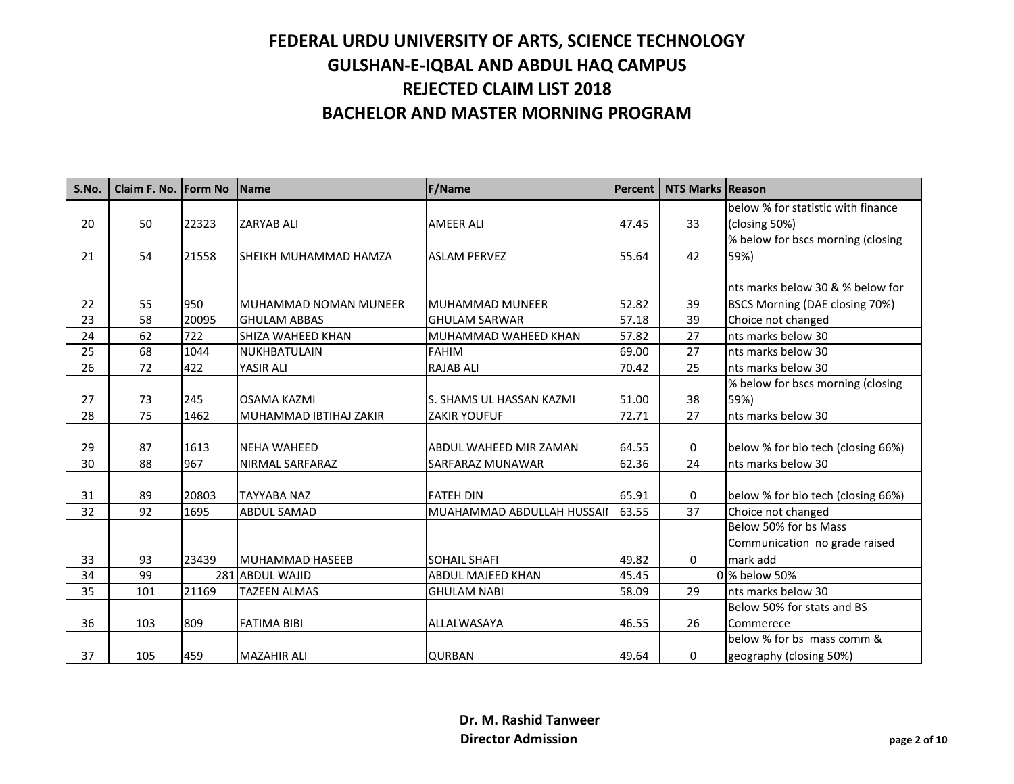| S.No. | Claim F. No. Form No |       | <b>Name</b>                    | F/Name                     | Percent | <b>NTS Marks Reason</b> |                                    |
|-------|----------------------|-------|--------------------------------|----------------------------|---------|-------------------------|------------------------------------|
|       |                      |       |                                |                            |         |                         | below % for statistic with finance |
| 20    | 50                   | 22323 | <b>ZARYAB ALI</b>              | <b>AMEER ALI</b>           | 47.45   | 33                      | (closing 50%)                      |
|       |                      |       |                                |                            |         |                         | % below for bscs morning (closing  |
| 21    | 54                   | 21558 | <b>I</b> SHEIKH MUHAMMAD HAMZA | <b>ASLAM PERVEZ</b>        | 55.64   | 42                      | 59%)                               |
|       |                      |       |                                |                            |         |                         |                                    |
|       |                      |       |                                |                            |         |                         | nts marks below 30 & % below for   |
| 22    | 55                   | 950   | IMUHAMMAD NOMAN MUNEER         | <b>MUHAMMAD MUNEER</b>     | 52.82   | 39                      | BSCS Morning (DAE closing 70%)     |
| 23    | 58                   | 20095 | <b>GHULAM ABBAS</b>            | <b>GHULAM SARWAR</b>       | 57.18   | 39                      | Choice not changed                 |
| 24    | 62                   | 722   | <b>SHIZA WAHEED KHAN</b>       | MUHAMMAD WAHEED KHAN       | 57.82   | 27                      | nts marks below 30                 |
| 25    | 68                   | 1044  | NUKHBATULAIN                   | <b>FAHIM</b>               | 69.00   | 27                      | nts marks below 30                 |
| 26    | 72                   | 422   | YASIR ALI                      | <b>RAJAB ALI</b>           | 70.42   | 25                      | nts marks below 30                 |
|       |                      |       |                                |                            |         |                         | % below for bscs morning (closing  |
| 27    | 73                   | 245   | <b>OSAMA KAZMI</b>             | S. SHAMS UL HASSAN KAZMI   | 51.00   | 38                      | 59%)                               |
| 28    | 75                   | 1462  | MUHAMMAD IBTIHAJ ZAKIR         | <b>ZAKIR YOUFUF</b>        | 72.71   | 27                      | nts marks below 30                 |
|       |                      |       |                                |                            |         |                         |                                    |
| 29    | 87                   | 1613  | <b>NEHA WAHEED</b>             | ABDUL WAHEED MIR ZAMAN     | 64.55   | 0                       | below % for bio tech (closing 66%) |
| 30    | 88                   | 967   | NIRMAL SARFARAZ                | SARFARAZ MUNAWAR           | 62.36   | 24                      | nts marks below 30                 |
|       |                      |       |                                |                            |         |                         |                                    |
| 31    | 89                   | 20803 | <b>TAYYABA NAZ</b>             | <b>FATEH DIN</b>           | 65.91   | 0                       | below % for bio tech (closing 66%) |
| 32    | 92                   | 1695  | ABDUL SAMAD                    | MUAHAMMAD ABDULLAH HUSSAII | 63.55   | 37                      | Choice not changed                 |
|       |                      |       |                                |                            |         |                         | Below 50% for bs Mass              |
|       |                      |       |                                |                            |         |                         | Communication no grade raised      |
| 33    | 93                   | 23439 | MUHAMMAD HASEEB                | <b>SOHAIL SHAFI</b>        | 49.82   | 0                       | mark add                           |
| 34    | 99                   |       | 281 ABDUL WAJID                | <b>ABDUL MAJEED KHAN</b>   | 45.45   |                         | 0 % below 50%                      |
| 35    | 101                  | 21169 | <b>TAZEEN ALMAS</b>            | <b>GHULAM NABI</b>         | 58.09   | 29                      | nts marks below 30                 |
|       |                      |       |                                |                            |         |                         | Below 50% for stats and BS         |
| 36    | 103                  | 809   | <b>FATIMA BIBI</b>             | ALLALWASAYA                | 46.55   | 26                      | Commerece                          |
|       |                      |       |                                |                            |         |                         | below % for bs mass comm &         |
| 37    | 105                  | 459   | <b>MAZAHIR ALI</b>             | <b>QURBAN</b>              | 49.64   | 0                       | geography (closing 50%)            |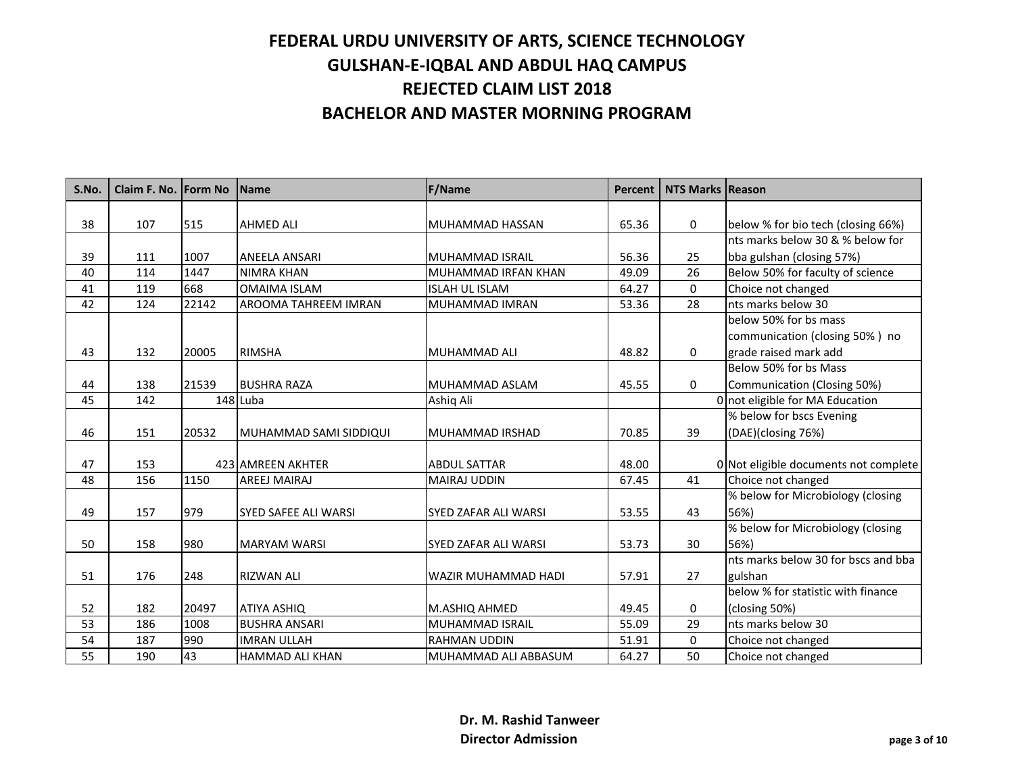| S.No. | Claim F. No. | <b>Form No</b> | <b>Name</b>                 | <b>F/Name</b>               | <b>Percent</b> | <b>NTS Marks Reason</b> |                                       |
|-------|--------------|----------------|-----------------------------|-----------------------------|----------------|-------------------------|---------------------------------------|
|       |              |                |                             |                             |                |                         |                                       |
| 38    | 107          | 515            | <b>AHMED ALI</b>            | MUHAMMAD HASSAN             | 65.36          | 0                       | below % for bio tech (closing 66%)    |
|       |              |                |                             |                             |                |                         | nts marks below 30 & % below for      |
| 39    | 111          | 1007           | <b>ANEELA ANSARI</b>        | MUHAMMAD ISRAIL             | 56.36          | 25                      | bba gulshan (closing 57%)             |
| 40    | 114          | 1447           | <b>NIMRA KHAN</b>           | <b>MUHAMMAD IRFAN KHAN</b>  | 49.09          | 26                      | Below 50% for faculty of science      |
| 41    | 119          | 668            | <b>OMAIMA ISLAM</b>         | <b>ISLAH UL ISLAM</b>       | 64.27          | $\mathbf 0$             | Choice not changed                    |
| 42    | 124          | 22142          | <b>AROOMA TAHREEM IMRAN</b> | <b>MUHAMMAD IMRAN</b>       | 53.36          | 28                      | nts marks below 30                    |
|       |              |                |                             |                             |                |                         | below 50% for bs mass                 |
|       |              |                |                             |                             |                |                         | communication (closing 50%) no        |
| 43    | 132          | 20005          | <b>RIMSHA</b>               | MUHAMMAD ALI                | 48.82          | 0                       | grade raised mark add                 |
|       |              |                |                             |                             |                |                         | Below 50% for bs Mass                 |
| 44    | 138          | 21539          | <b>BUSHRA RAZA</b>          | MUHAMMAD ASLAM              | 45.55          | $\mathbf 0$             | Communication (Closing 50%)           |
| 45    | 142          |                | 148 Luba                    | Ashiq Ali                   |                |                         | 0 not eligible for MA Education       |
|       |              |                |                             |                             |                |                         | % below for bscs Evening              |
| 46    | 151          | 20532          | MUHAMMAD SAMI SIDDIQUI      | MUHAMMAD IRSHAD             | 70.85          | 39                      | (DAE)(closing 76%)                    |
|       |              |                |                             |                             |                |                         |                                       |
| 47    | 153          |                | 423 AMREEN AKHTER           | <b>ABDUL SATTAR</b>         | 48.00          |                         | 0 Not eligible documents not complete |
| 48    | 156          | 1150           | <b>AREEJ MAIRAJ</b>         | <b>MAIRAJ UDDIN</b>         | 67.45          | 41                      | Choice not changed                    |
|       |              |                |                             |                             |                |                         | % below for Microbiology (closing     |
| 49    | 157          | 979            | <b>SYED SAFEE ALI WARSI</b> | <b>SYED ZAFAR ALI WARSI</b> | 53.55          | 43                      | 56%)                                  |
|       |              |                |                             |                             |                |                         | % below for Microbiology (closing     |
| 50    | 158          | 980            | <b>MARYAM WARSI</b>         | <b>SYED ZAFAR ALI WARSI</b> | 53.73          | 30                      | 56%)                                  |
|       |              |                |                             |                             |                |                         | nts marks below 30 for bscs and bba   |
| 51    | 176          | 248            | <b>RIZWAN ALI</b>           | WAZIR MUHAMMAD HADI         | 57.91          | 27                      | gulshan                               |
|       |              |                |                             |                             |                |                         | below % for statistic with finance    |
| 52    | 182          | 20497          | <b>ATIYA ASHIQ</b>          | <b>M.ASHIQ AHMED</b>        | 49.45          | $\mathbf{0}$            | (closing 50%)                         |
| 53    | 186          | 1008           | <b>BUSHRA ANSARI</b>        | <b>MUHAMMAD ISRAIL</b>      | 55.09          | 29                      | nts marks below 30                    |
| 54    | 187          | 990            | <b>IMRAN ULLAH</b>          | <b>RAHMAN UDDIN</b>         | 51.91          | $\mathbf 0$             | Choice not changed                    |
| 55    | 190          | 43             | <b>HAMMAD ALI KHAN</b>      | MUHAMMAD ALI ABBASUM        | 64.27          | 50                      | Choice not changed                    |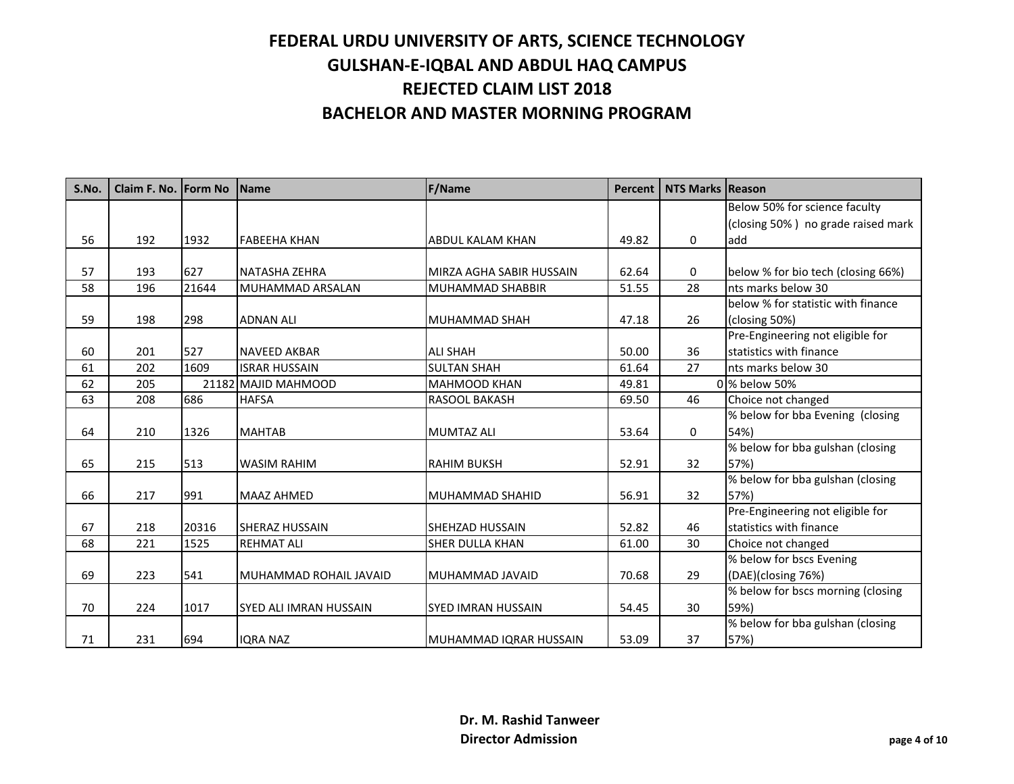| S.No. | Claim F. No. Form No |       | <b>Name</b>                   | <b>F/Name</b>             | Percent | <b>NTS Marks Reason</b> |                                    |
|-------|----------------------|-------|-------------------------------|---------------------------|---------|-------------------------|------------------------------------|
|       |                      |       |                               |                           |         |                         | Below 50% for science faculty      |
|       |                      |       |                               |                           |         |                         | (closing 50%) no grade raised mark |
| 56    | 192                  | 1932  | <b>FABEEHA KHAN</b>           | <b>ABDUL KALAM KHAN</b>   | 49.82   | $\mathbf 0$             | ladd                               |
|       |                      |       |                               |                           |         |                         |                                    |
| 57    | 193                  | 627   | NATASHA ZEHRA                 | MIRZA AGHA SABIR HUSSAIN  | 62.64   | 0                       | below % for bio tech (closing 66%) |
| 58    | 196                  | 21644 | MUHAMMAD ARSALAN              | MUHAMMAD SHABBIR          | 51.55   | 28                      | nts marks below 30                 |
|       |                      |       |                               |                           |         |                         | below % for statistic with finance |
| 59    | 198                  | 298   | <b>ADNAN ALI</b>              | MUHAMMAD SHAH             | 47.18   | 26                      | (closing 50%)                      |
|       |                      |       |                               |                           |         |                         | Pre-Engineering not eligible for   |
| 60    | 201                  | 527   | <b>NAVEED AKBAR</b>           | <b>ALI SHAH</b>           | 50.00   | 36                      | statistics with finance            |
| 61    | 202                  | 1609  | <b>ISRAR HUSSAIN</b>          | <b>SULTAN SHAH</b>        | 61.64   | 27                      | nts marks below 30                 |
| 62    | 205                  |       | 21182 MAJID MAHMOOD           | <b>MAHMOOD KHAN</b>       | 49.81   |                         | 0 % below 50%                      |
| 63    | 208                  | 686   | <b>HAFSA</b>                  | RASOOL BAKASH             | 69.50   | 46                      | Choice not changed                 |
|       |                      |       |                               |                           |         |                         | % below for bba Evening (closing   |
| 64    | 210                  | 1326  | <b>MAHTAB</b>                 | <b>MUMTAZ ALI</b>         | 53.64   | $\mathbf 0$             | 54%)                               |
|       |                      |       |                               |                           |         |                         | % below for bba gulshan (closing   |
| 65    | 215                  | 513   | <b>WASIM RAHIM</b>            | <b>RAHIM BUKSH</b>        | 52.91   | 32                      | 57%)                               |
|       |                      |       |                               |                           |         |                         | % below for bba gulshan (closing   |
| 66    | 217                  | 991   | <b>MAAZ AHMED</b>             | MUHAMMAD SHAHID           | 56.91   | 32                      | 57%)                               |
|       |                      |       |                               |                           |         |                         | Pre-Engineering not eligible for   |
| 67    | 218                  | 20316 | <b>SHERAZ HUSSAIN</b>         | <b>SHEHZAD HUSSAIN</b>    | 52.82   | 46                      | statistics with finance            |
| 68    | 221                  | 1525  | <b>REHMAT ALI</b>             | SHER DULLA KHAN           | 61.00   | 30                      | Choice not changed                 |
|       |                      |       |                               |                           |         |                         | % below for bscs Evening           |
| 69    | 223                  | 541   | MUHAMMAD ROHAIL JAVAID        | MUHAMMAD JAVAID           | 70.68   | 29                      | (DAE)(closing 76%)                 |
|       |                      |       |                               |                           |         |                         | % below for bscs morning (closing  |
| 70    | 224                  | 1017  | <b>SYED ALI IMRAN HUSSAIN</b> | <b>SYED IMRAN HUSSAIN</b> | 54.45   | 30                      | 59%)                               |
|       |                      |       |                               |                           |         |                         | % below for bba gulshan (closing   |
| 71    | 231                  | 694   | <b>IQRA NAZ</b>               | MUHAMMAD IQRAR HUSSAIN    | 53.09   | 37                      | 57%)                               |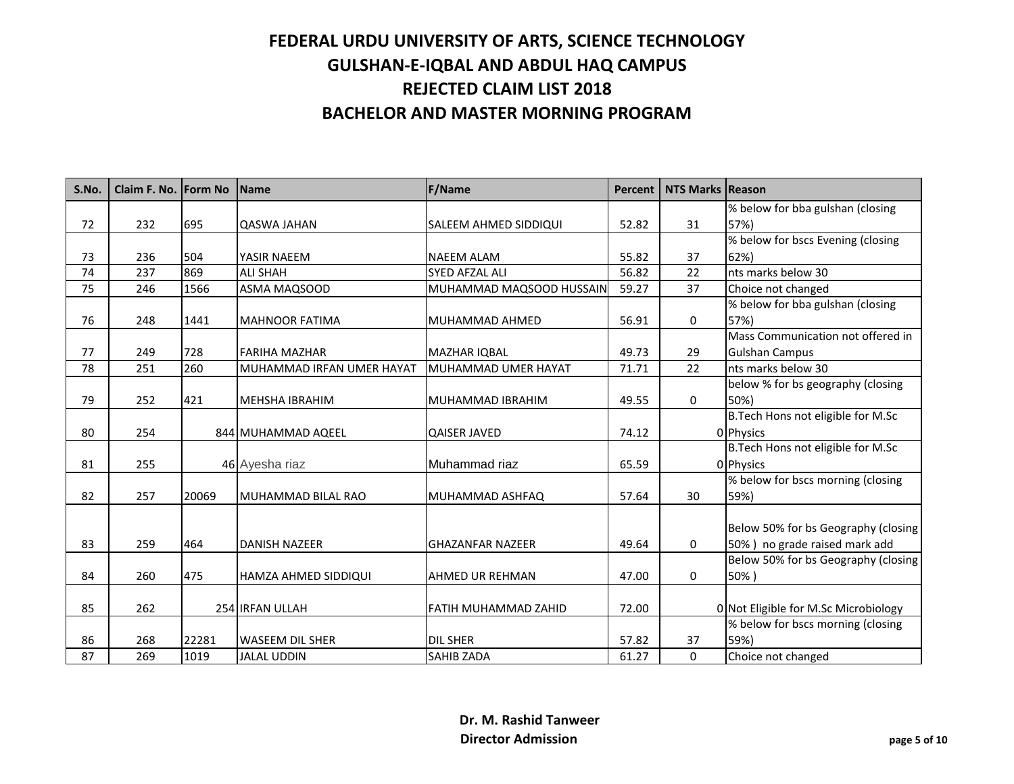| S.No. | Claim F. No. Form No |       | <b>Name</b>               | <b>F/Name</b>               | Percent | <b>NTS Marks Reason</b> |                                      |
|-------|----------------------|-------|---------------------------|-----------------------------|---------|-------------------------|--------------------------------------|
|       |                      |       |                           |                             |         |                         | % below for bba gulshan (closing     |
| 72    | 232                  | 695   | <b>QASWA JAHAN</b>        | SALEEM AHMED SIDDIQUI       | 52.82   | 31                      | 57%)                                 |
|       |                      |       |                           |                             |         |                         | % below for bscs Evening (closing    |
| 73    | 236                  | 504   | YASIR NAEEM               | <b>NAEEM ALAM</b>           | 55.82   | 37                      | 62%)                                 |
| 74    | 237                  | 869   | <b>ALI SHAH</b>           | <b>SYED AFZAL ALI</b>       | 56.82   | 22                      | nts marks below 30                   |
| 75    | 246                  | 1566  | ASMA MAQSOOD              | MUHAMMAD MAQSOOD HUSSAIN    | 59.27   | 37                      | Choice not changed                   |
|       |                      |       |                           |                             |         |                         | % below for bba gulshan (closing     |
| 76    | 248                  | 1441  | <b>MAHNOOR FATIMA</b>     | MUHAMMAD AHMED              | 56.91   | 0                       | 57%)                                 |
|       |                      |       |                           |                             |         |                         | Mass Communication not offered in    |
| 77    | 249                  | 728   | <b>FARIHA MAZHAR</b>      | <b>MAZHAR IOBAL</b>         | 49.73   | 29                      | <b>Gulshan Campus</b>                |
| 78    | 251                  | 260   | MUHAMMAD IRFAN UMER HAYAT | MUHAMMAD UMER HAYAT         | 71.71   | 22                      | nts marks below 30                   |
|       |                      |       |                           |                             |         |                         | below % for bs geography (closing    |
| 79    | 252                  | 421   | <b>MEHSHA IBRAHIM</b>     | MUHAMMAD IBRAHIM            | 49.55   | $\mathbf 0$             | 50%)                                 |
|       |                      |       |                           |                             |         |                         | B. Tech Hons not eligible for M.Sc   |
| 80    | 254                  |       | 844 MUHAMMAD AQEEL        | <b>QAISER JAVED</b>         | 74.12   |                         | 0 Physics                            |
|       |                      |       |                           |                             |         |                         | B. Tech Hons not eligible for M.Sc   |
| 81    | 255                  |       | 46 Ayesha riaz            | Muhammad riaz               | 65.59   |                         | 0 Physics                            |
|       |                      |       |                           |                             |         |                         | % below for bscs morning (closing    |
| 82    | 257                  | 20069 | MUHAMMAD BILAL RAO        | MUHAMMAD ASHFAQ             | 57.64   | 30                      | 59%)                                 |
|       |                      |       |                           |                             |         |                         |                                      |
|       |                      |       |                           |                             |         |                         | Below 50% for bs Geography (closing  |
| 83    | 259                  | 464   | <b>DANISH NAZEER</b>      | <b>GHAZANFAR NAZEER</b>     | 49.64   | $\mathbf 0$             | 50%) no grade raised mark add        |
|       |                      |       |                           |                             |         |                         | Below 50% for bs Geography (closing  |
| 84    | 260                  | 475   | HAMZA AHMED SIDDIQUI      | AHMED UR REHMAN             | 47.00   | 0                       | 50%)                                 |
|       |                      |       |                           |                             |         |                         |                                      |
| 85    | 262                  |       | 254 IRFAN ULLAH           | <b>FATIH MUHAMMAD ZAHID</b> | 72.00   |                         | 0 Not Eligible for M.Sc Microbiology |
|       |                      |       |                           |                             |         |                         | % below for bscs morning (closing    |
| 86    | 268                  | 22281 | <b>WASEEM DIL SHER</b>    | <b>DIL SHER</b>             | 57.82   | 37                      | 59%)                                 |
| 87    | 269                  | 1019  | <b>JALAL UDDIN</b>        | <b>SAHIB ZADA</b>           | 61.27   | $\mathbf 0$             | Choice not changed                   |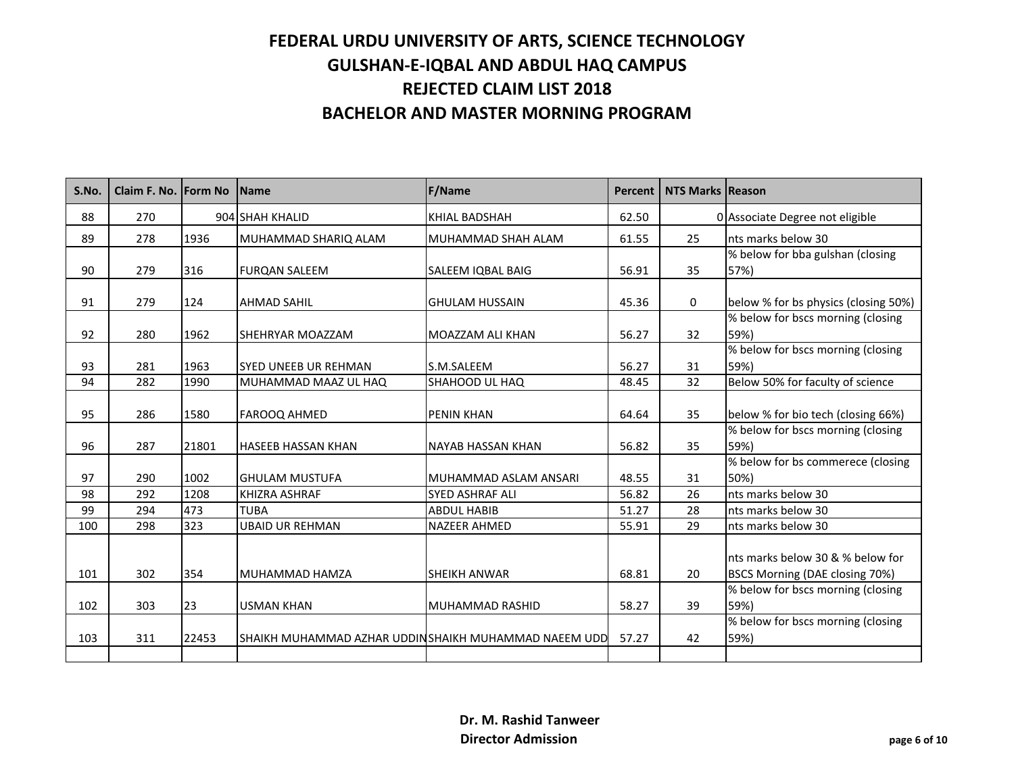| S.No. | Claim F. No. Form No |       | <b>Name</b>                                           | <b>F/Name</b>            | Percent | <b>NTS Marks Reason</b> |                                                                    |
|-------|----------------------|-------|-------------------------------------------------------|--------------------------|---------|-------------------------|--------------------------------------------------------------------|
| 88    | 270                  |       | 904 SHAH KHALID                                       | KHIAL BADSHAH            | 62.50   |                         | 0 Associate Degree not eligible                                    |
| 89    | 278                  | 1936  | MUHAMMAD SHARIQ ALAM                                  | MUHAMMAD SHAH ALAM       | 61.55   | 25                      | nts marks below 30                                                 |
| 90    | 279                  | 316   | <b>FURQAN SALEEM</b>                                  | <b>SALEEM IQBAL BAIG</b> | 56.91   | 35                      | % below for bba gulshan (closing<br>57%)                           |
| 91    | 279                  | 124   | <b>AHMAD SAHIL</b>                                    | <b>GHULAM HUSSAIN</b>    | 45.36   | 0                       | below % for bs physics (closing 50%)                               |
| 92    | 280                  | 1962  | <b>SHEHRYAR MOAZZAM</b>                               | MOAZZAM ALI KHAN         | 56.27   | 32                      | % below for bscs morning (closing<br>59%)                          |
| 93    | 281                  | 1963  | ISYED UNEEB UR REHMAN                                 | S.M.SALEEM               | 56.27   | 31                      | % below for bscs morning (closing<br>59%)                          |
| 94    | 282                  | 1990  | MUHAMMAD MAAZ UL HAQ                                  | SHAHOOD UL HAQ           | 48.45   | 32                      | Below 50% for faculty of science                                   |
| 95    | 286                  | 1580  | <b>FAROOQ AHMED</b>                                   | <b>PENIN KHAN</b>        | 64.64   | 35                      | below % for bio tech (closing 66%)                                 |
| 96    | 287                  | 21801 | <b>HASEEB HASSAN KHAN</b>                             | <b>NAYAB HASSAN KHAN</b> | 56.82   | 35                      | % below for bscs morning (closing<br>59%)                          |
| 97    | 290                  | 1002  | <b>l</b> GHULAM MUSTUFA                               | MUHAMMAD ASLAM ANSARI    | 48.55   | 31                      | % below for bs commerece (closing<br>50%)                          |
| 98    | 292                  | 1208  | <b>KHIZRA ASHRAF</b>                                  | <b>SYED ASHRAF ALI</b>   | 56.82   | 26                      | nts marks below 30                                                 |
| 99    | 294                  | 473   | <b>TUBA</b>                                           | <b>ABDUL HABIB</b>       | 51.27   | 28                      | nts marks below 30                                                 |
| 100   | 298                  | 323   | <b>UBAID UR REHMAN</b>                                | <b>NAZEER AHMED</b>      | 55.91   | 29                      | nts marks below 30                                                 |
| 101   | 302                  | 354   | MUHAMMAD HAMZA                                        | <b>SHEIKH ANWAR</b>      | 68.81   | 20                      | nts marks below 30 & % below for<br>BSCS Morning (DAE closing 70%) |
| 102   | 303                  | 23    | <b>USMAN KHAN</b>                                     | MUHAMMAD RASHID          | 58.27   | 39                      | % below for bscs morning (closing<br>59%)                          |
| 103   | 311                  | 22453 | ISHAIKH MUHAMMAD AZHAR UDDINSHAIKH MUHAMMAD NAEEM UDD |                          | 57.27   | 42                      | % below for bscs morning (closing<br>59%)                          |
|       |                      |       |                                                       |                          |         |                         |                                                                    |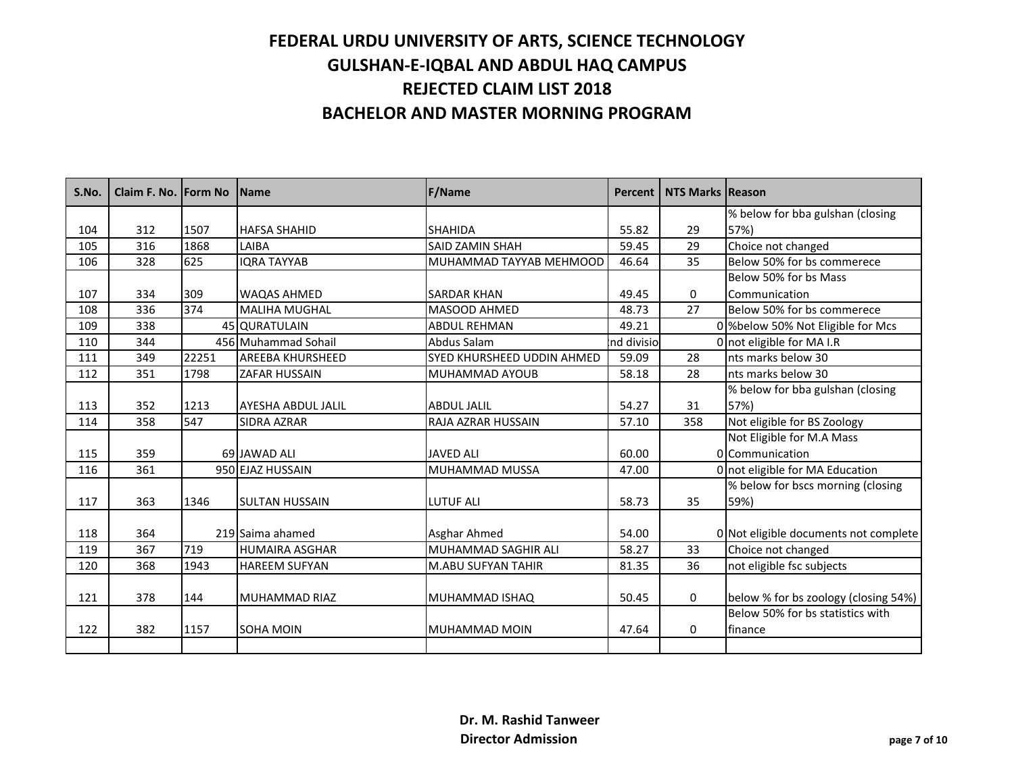| S.No. | Claim F. No. Form No |       | <b>Name</b>               | <b>F/Name</b>              | <b>Percent</b> I | <b>NTS Marks Reason</b> |                                       |
|-------|----------------------|-------|---------------------------|----------------------------|------------------|-------------------------|---------------------------------------|
|       |                      |       |                           |                            |                  |                         | % below for bba gulshan (closing      |
| 104   | 312                  | 1507  | <b>HAFSA SHAHID</b>       | <b>SHAHIDA</b>             | 55.82            | 29                      | 57%)                                  |
| 105   | 316                  | 1868  | <b>LAIRA</b>              | <b>SAID ZAMIN SHAH</b>     | 59.45            | 29                      | Choice not changed                    |
| 106   | 328                  | 625   | <b>IQRA TAYYAB</b>        | MUHAMMAD TAYYAB MEHMOOD    | 46.64            | 35                      | Below 50% for bs commerece            |
|       |                      |       |                           |                            |                  |                         | Below 50% for bs Mass                 |
| 107   | 334                  | 309   | <b>WAQAS AHMED</b>        | <b>SARDAR KHAN</b>         | 49.45            | 0                       | Communication                         |
| 108   | 336                  | 374   | <b>MALIHA MUGHAL</b>      | MASOOD AHMED               | 48.73            | 27                      | Below 50% for bs commerece            |
| 109   | 338                  |       | 45 QURATULAIN             | <b>ABDUL REHMAN</b>        | 49.21            |                         | 0 % below 50% Not Eligible for Mcs    |
| 110   | 344                  |       | 456 Muhammad Sohail       | Abdus Salam                | nd divisio       |                         | 0 not eligible for MA I.R             |
| 111   | 349                  | 22251 | <b>AREEBA KHURSHEED</b>   | SYED KHURSHEED UDDIN AHMED | 59.09            | 28                      | nts marks below 30                    |
| 112   | 351                  | 1798  | <b>ZAFAR HUSSAIN</b>      | <b>MUHAMMAD AYOUB</b>      | 58.18            | 28                      | nts marks below 30                    |
|       |                      |       |                           |                            |                  |                         | % below for bba gulshan (closing      |
| 113   | 352                  | 1213  | <b>AYESHA ABDUL JALIL</b> | <b>ABDUL JALIL</b>         | 54.27            | 31                      | 57%                                   |
| 114   | 358                  | 547   | <b>SIDRA AZRAR</b>        | RAJA AZRAR HUSSAIN         | 57.10            | 358                     | Not eligible for BS Zoology           |
|       |                      |       |                           |                            |                  |                         | Not Eligible for M.A Mass             |
| 115   | 359                  |       | 69 JAWAD ALI              | <b>JAVED ALI</b>           | 60.00            |                         | 0 Communication                       |
| 116   | 361                  |       | 950 EJAZ HUSSAIN          | MUHAMMAD MUSSA             | 47.00            |                         | 0 not eligible for MA Education       |
|       |                      |       |                           |                            |                  |                         | % below for bscs morning (closing     |
| 117   | 363                  | 1346  | <b>SULTAN HUSSAIN</b>     | <b>LUTUF ALI</b>           | 58.73            | 35                      | 59%)                                  |
|       |                      |       |                           |                            |                  |                         |                                       |
| 118   | 364                  |       | 219 Saima ahamed          | Asghar Ahmed               | 54.00            |                         | 0 Not eligible documents not complete |
| 119   | 367                  | 719   | <b>HUMAIRA ASGHAR</b>     | MUHAMMAD SAGHIR ALI        | 58.27            | 33                      | Choice not changed                    |
| 120   | 368                  | 1943  | <b>HAREEM SUFYAN</b>      | <b>M.ABU SUFYAN TAHIR</b>  | 81.35            | 36                      | not eligible fsc subjects             |
|       |                      |       |                           |                            |                  |                         |                                       |
| 121   | 378                  | 144   | MUHAMMAD RIAZ             | MUHAMMAD ISHAQ             | 50.45            | $\mathbf 0$             | below % for bs zoology (closing 54%)  |
|       |                      |       |                           |                            |                  |                         | Below 50% for bs statistics with      |
| 122   | 382                  | 1157  | <b>SOHA MOIN</b>          | MUHAMMAD MOIN              | 47.64            | $\Omega$                | finance                               |
|       |                      |       |                           |                            |                  |                         |                                       |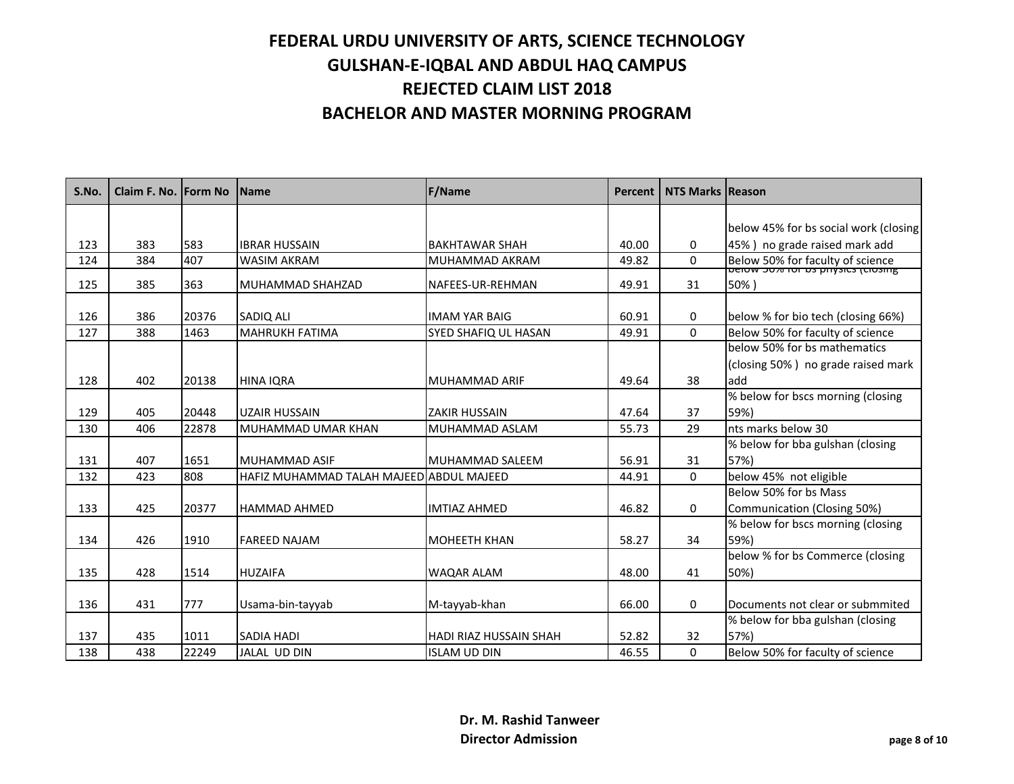| S.No. | Claim F. No. Form No |       | <b>Name</b>                              | <b>F/Name</b>                 | <b>Percent</b> | <b>NTS Marks Reason</b> |                                                                                             |
|-------|----------------------|-------|------------------------------------------|-------------------------------|----------------|-------------------------|---------------------------------------------------------------------------------------------|
|       |                      |       |                                          |                               |                |                         |                                                                                             |
|       |                      |       |                                          |                               |                |                         | below 45% for bs social work (closing                                                       |
| 123   | 383                  | 583   | <b>IBRAR HUSSAIN</b>                     | <b>BAKHTAWAR SHAH</b>         | 40.00          | $\Omega$                | 45%) no grade raised mark add                                                               |
| 124   | 384                  | 407   | <b>WASIM AKRAM</b>                       | <b>MUHAMMAD AKRAM</b>         | 49.82          | $\Omega$                | Below 50% for faculty of science<br><del>אַוונטוטן כאונγווע כט וטו א<i>י</i>טכ איטוסט</del> |
| 125   | 385                  | 363   | MUHAMMAD SHAHZAD                         | NAFEES-UR-REHMAN              | 49.91          | 31                      | 50%                                                                                         |
|       |                      |       |                                          |                               |                |                         |                                                                                             |
| 126   | 386                  | 20376 | SADIQ ALI                                | <b>IMAM YAR BAIG</b>          | 60.91          | $\Omega$                | below % for bio tech (closing 66%)                                                          |
| 127   | 388                  | 1463  | <b>MAHRUKH FATIMA</b>                    | SYED SHAFIQ UL HASAN          | 49.91          | $\mathbf{0}$            | Below 50% for faculty of science                                                            |
|       |                      |       |                                          |                               |                |                         | below 50% for bs mathematics                                                                |
|       |                      |       |                                          |                               |                |                         | (closing 50%) no grade raised mark                                                          |
| 128   | 402                  | 20138 | <b>HINA IQRA</b>                         | MUHAMMAD ARIF                 | 49.64          | 38                      | add                                                                                         |
|       |                      |       |                                          |                               |                |                         | % below for bscs morning (closing                                                           |
| 129   | 405                  | 20448 | <b>UZAIR HUSSAIN</b>                     | <b>ZAKIR HUSSAIN</b>          | 47.64          | 37                      | 59%)                                                                                        |
| 130   | 406                  | 22878 | MUHAMMAD UMAR KHAN                       | MUHAMMAD ASLAM                | 55.73          | 29                      | nts marks below 30                                                                          |
|       |                      |       |                                          |                               |                |                         | % below for bba gulshan (closing                                                            |
| 131   | 407                  | 1651  | <b>MUHAMMAD ASIF</b>                     | MUHAMMAD SALEEM               | 56.91          | 31                      | 57%)                                                                                        |
| 132   | 423                  | 808   | HAFIZ MUHAMMAD TALAH MAJEED ABDUL MAJEED |                               | 44.91          | $\Omega$                | below 45% not eligible                                                                      |
|       |                      |       |                                          |                               |                |                         | Below 50% for bs Mass                                                                       |
| 133   | 425                  | 20377 | <b>HAMMAD AHMED</b>                      | <b>IMTIAZ AHMED</b>           | 46.82          | 0                       | Communication (Closing 50%)                                                                 |
|       |                      |       |                                          |                               |                |                         | % below for bscs morning (closing                                                           |
| 134   | 426                  | 1910  | <b>FAREED NAJAM</b>                      | <b>MOHEETH KHAN</b>           | 58.27          | 34                      | 59%)                                                                                        |
|       |                      |       |                                          |                               |                |                         | below % for bs Commerce (closing                                                            |
| 135   | 428                  | 1514  | <b>HUZAIFA</b>                           | <b>WAQAR ALAM</b>             | 48.00          | 41                      | 50%)                                                                                        |
|       |                      |       |                                          |                               |                |                         |                                                                                             |
| 136   | 431                  | 777   | Usama-bin-tayyab                         | M-tayyab-khan                 | 66.00          | $\mathbf 0$             | Documents not clear or submmited                                                            |
|       |                      |       |                                          |                               |                |                         | % below for bba gulshan (closing                                                            |
| 137   | 435                  | 1011  | <b>SADIA HADI</b>                        | <b>HADI RIAZ HUSSAIN SHAH</b> | 52.82          | 32                      | 57%)                                                                                        |
| 138   | 438                  | 22249 | <b>JALAL UD DIN</b>                      | <b>ISLAM UD DIN</b>           | 46.55          | $\Omega$                | Below 50% for faculty of science                                                            |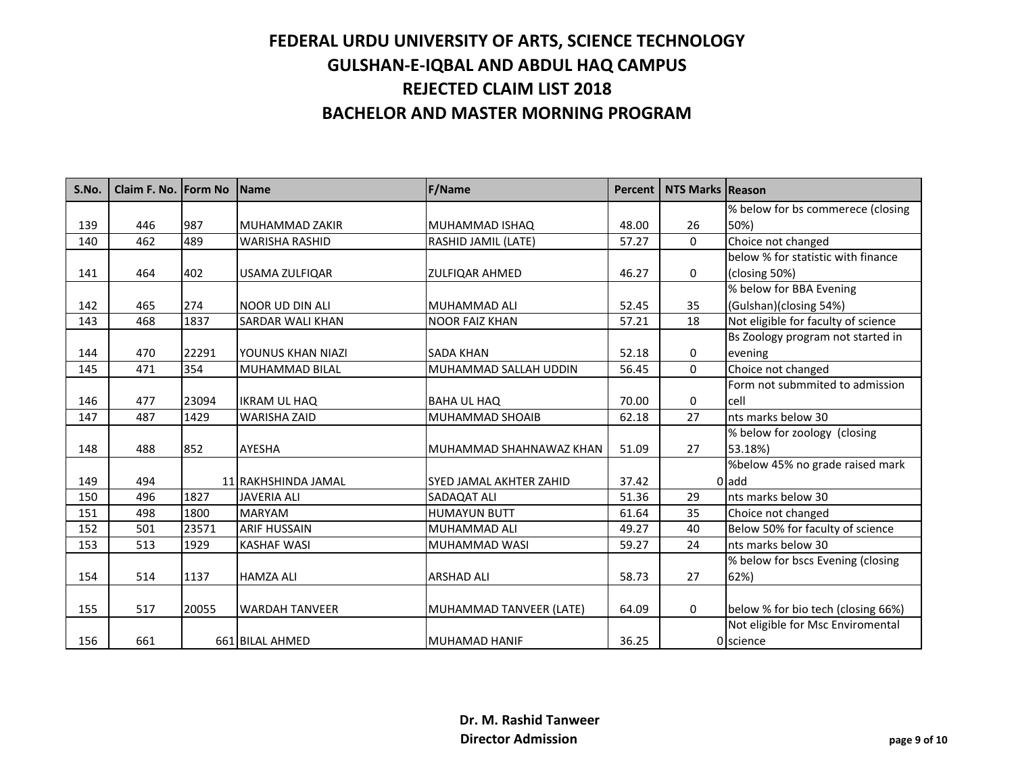| S.No. | Claim F. No. Form No |       | <b>Name</b>             | <b>F/Name</b>           | <b>Percent</b> | <b>NTS Marks Reason</b> |                                     |
|-------|----------------------|-------|-------------------------|-------------------------|----------------|-------------------------|-------------------------------------|
|       |                      |       |                         |                         |                |                         | % below for bs commerece (closing   |
| 139   | 446                  | 987   | MUHAMMAD ZAKIR          | MUHAMMAD ISHAQ          | 48.00          | 26                      | 50%                                 |
| 140   | 462                  | 489   | <b>WARISHA RASHID</b>   | RASHID JAMIL (LATE)     | 57.27          | $\Omega$                | Choice not changed                  |
|       |                      |       |                         |                         |                |                         | below % for statistic with finance  |
| 141   | 464                  | 402   | <b>USAMA ZULFIQAR</b>   | <b>ZULFIQAR AHMED</b>   | 46.27          | 0                       | (closing 50%)                       |
|       |                      |       |                         |                         |                |                         | % below for BBA Evening             |
| 142   | 465                  | 274   | NOOR UD DIN ALI         | MUHAMMAD ALI            | 52.45          | 35                      | (Gulshan)(closing 54%)              |
| 143   | 468                  | 1837  | <b>SARDAR WALI KHAN</b> | <b>NOOR FAIZ KHAN</b>   | 57.21          | 18                      | Not eligible for faculty of science |
|       |                      |       |                         |                         |                |                         | Bs Zoology program not started in   |
| 144   | 470                  | 22291 | YOUNUS KHAN NIAZI       | <b>SADA KHAN</b>        | 52.18          | 0                       | evening                             |
| 145   | 471                  | 354   | MUHAMMAD BILAL          | MUHAMMAD SALLAH UDDIN   | 56.45          | $\Omega$                | Choice not changed                  |
|       |                      |       |                         |                         |                |                         | Form not submmited to admission     |
| 146   | 477                  | 23094 | <b>IKRAM UL HAQ</b>     | <b>BAHA UL HAQ</b>      | 70.00          | $\Omega$                | cell                                |
| 147   | 487                  | 1429  | <b>WARISHA ZAID</b>     | <b>MUHAMMAD SHOAIB</b>  | 62.18          | 27                      | nts marks below 30                  |
|       |                      |       |                         |                         |                |                         | % below for zoology (closing        |
| 148   | 488                  | 852   | <b>AYESHA</b>           | MUHAMMAD SHAHNAWAZ KHAN | 51.09          | 27                      | 53.18%)                             |
|       |                      |       |                         |                         |                |                         | %below 45% no grade raised mark     |
| 149   | 494                  |       | 11 RAKHSHINDA JAMAL     | SYED JAMAL AKHTER ZAHID | 37.42          |                         | $0$ add                             |
| 150   | 496                  | 1827  | <b>JAVERIA ALI</b>      | <b>SADAQAT ALI</b>      | 51.36          | 29                      | nts marks below 30                  |
| 151   | 498                  | 1800  | <b>MARYAM</b>           | <b>HUMAYUN BUTT</b>     | 61.64          | 35                      | Choice not changed                  |
| 152   | 501                  | 23571 | <b>ARIF HUSSAIN</b>     | MUHAMMAD ALI            | 49.27          | 40                      | Below 50% for faculty of science    |
| 153   | 513                  | 1929  | <b>KASHAF WASI</b>      | MUHAMMAD WASI           | 59.27          | 24                      | nts marks below 30                  |
|       |                      |       |                         |                         |                |                         | % below for bscs Evening (closing   |
| 154   | 514                  | 1137  | <b>HAMZA ALI</b>        | <b>ARSHAD ALI</b>       | 58.73          | 27                      | 62%)                                |
|       |                      |       |                         |                         |                |                         |                                     |
| 155   | 517                  | 20055 | <b>WARDAH TANVEER</b>   | MUHAMMAD TANVEER (LATE) | 64.09          | $\mathbf 0$             | below % for bio tech (closing 66%)  |
|       |                      |       |                         |                         |                |                         | Not eligible for Msc Enviromental   |
| 156   | 661                  |       | 661 BILAL AHMED         | MUHAMAD HANIF           | 36.25          |                         | 0 science                           |